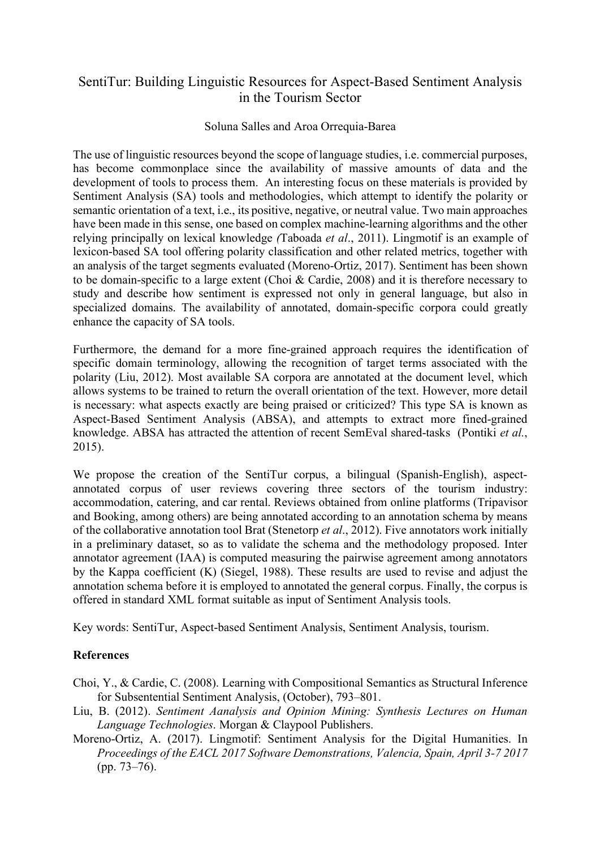## SentiTur: Building Linguistic Resources for Aspect-Based Sentiment Analysis in the Tourism Sector

## Soluna Salles and Aroa Orrequia-Barea

The use of linguistic resources beyond the scope of language studies, i.e. commercial purposes, has become commonplace since the availability of massive amounts of data and the development of tools to process them. An interesting focus on these materials is provided by Sentiment Analysis (SA) tools and methodologies, which attempt to identify the polarity or semantic orientation of a text, i.e., its positive, negative, or neutral value. Two main approaches have been made in this sense, one based on complex machine-learning algorithms and the other relying principally on lexical knowledge *(*Taboada *et al*., 2011). Lingmotif is an example of lexicon-based SA tool offering polarity classification and other related metrics, together with an analysis of the target segments evaluated (Moreno-Ortiz, 2017). Sentiment has been shown to be domain-specific to a large extent (Choi & Cardie, 2008) and it is therefore necessary to study and describe how sentiment is expressed not only in general language, but also in specialized domains. The availability of annotated, domain-specific corpora could greatly enhance the capacity of SA tools.

Furthermore, the demand for a more fine-grained approach requires the identification of specific domain terminology, allowing the recognition of target terms associated with the polarity (Liu, 2012). Most available SA corpora are annotated at the document level, which allows systems to be trained to return the overall orientation of the text. However, more detail is necessary: what aspects exactly are being praised or criticized? This type SA is known as Aspect-Based Sentiment Analysis (ABSA), and attempts to extract more fined-grained knowledge. ABSA has attracted the attention of recent SemEval shared-tasks (Pontiki *et al.*, 2015).

We propose the creation of the SentiTur corpus, a bilingual (Spanish-English), aspectannotated corpus of user reviews covering three sectors of the tourism industry: accommodation, catering, and car rental. Reviews obtained from online platforms (Tripavisor and Booking, among others) are being annotated according to an annotation schema by means of the collaborative annotation tool Brat (Stenetorp *et al*., 2012). Five annotators work initially in a preliminary dataset, so as to validate the schema and the methodology proposed. Inter annotator agreement (IAA) is computed measuring the pairwise agreement among annotators by the Kappa coefficient (K) (Siegel, 1988). These results are used to revise and adjust the annotation schema before it is employed to annotated the general corpus. Finally, the corpus is offered in standard XML format suitable as input of Sentiment Analysis tools.

Key words: SentiTur, Aspect-based Sentiment Analysis, Sentiment Analysis, tourism.

## **References**

Choi, Y., & Cardie, C. (2008). Learning with Compositional Semantics as Structural Inference for Subsentential Sentiment Analysis, (October), 793–801.

- Liu, B. (2012). *Sentiment Aanalysis and Opinion Mining: Synthesis Lectures on Human Language Technologies*. Morgan & Claypool Publishers.
- Moreno-Ortiz, A. (2017). Lingmotif: Sentiment Analysis for the Digital Humanities. In *Proceedings of the EACL 2017 Software Demonstrations, Valencia, Spain, April 3-7 2017* (pp. 73–76).